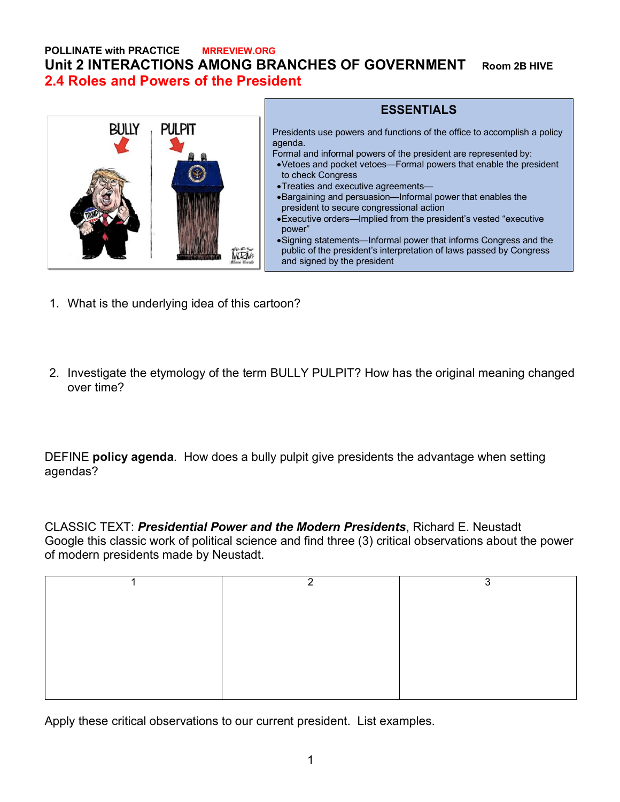**POLLINATE with PRACTICE MRREVIEW.ORG Unit 2 INTERACTIONS AMONG BRANCHES OF GOVERNMENT Room 2B HIVE 2.4 Roles and Powers of the President**



## **ESSENTIALS**

Presidents use powers and functions of the office to accomplish a policy agenda.

Formal and informal powers of the president are represented by:

- •Vetoes and pocket vetoes—Formal powers that enable the president to check Congress
- •Treaties and executive agreements—
- •Bargaining and persuasion—Informal power that enables the president to secure congressional action
- •Executive orders—Implied from the president's vested "executive power"

•Signing statements—Informal power that informs Congress and the public of the president's interpretation of laws passed by Congress and signed by the president

- 1. What is the underlying idea of this cartoon?
- 2. Investigate the etymology of the term BULLY PULPIT? How has the original meaning changed over time?

DEFINE **policy agenda**. How does a bully pulpit give presidents the advantage when setting agendas?

CLASSIC TEXT: *Presidential Power and the Modern Presidents*, Richard E. Neustadt Google this classic work of political science and find three (3) critical observations about the power of modern presidents made by Neustadt.

| ົ | ◠ |
|---|---|
|   |   |
|   |   |
|   |   |
|   |   |
|   |   |
|   |   |
|   |   |

Apply these critical observations to our current president. List examples.